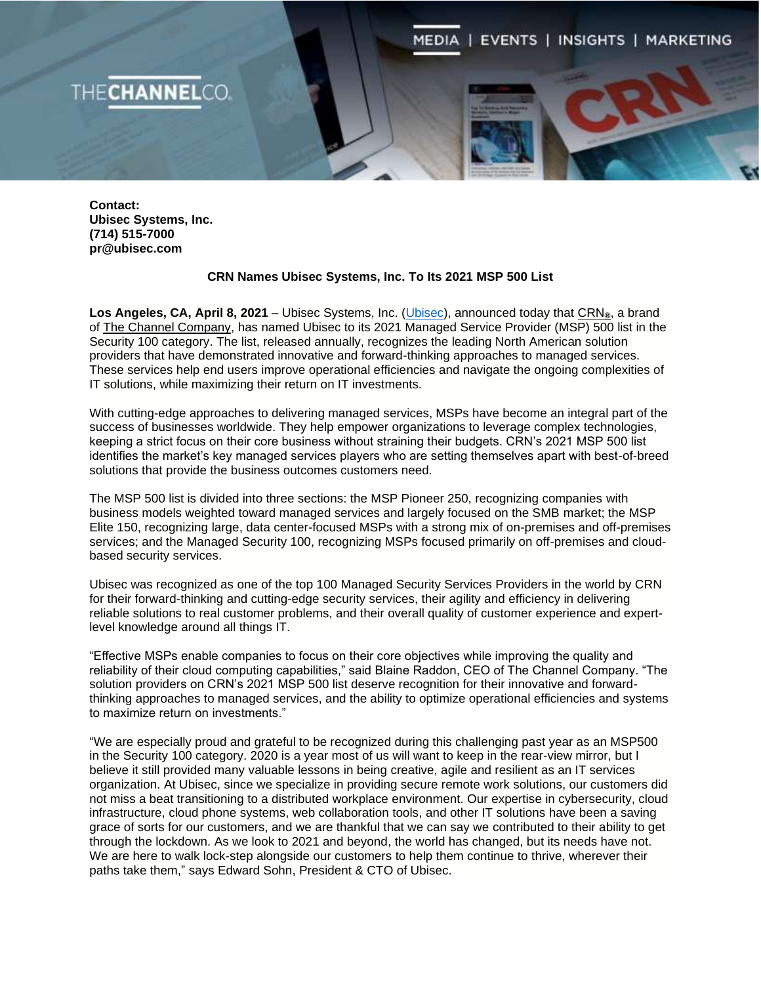MEDIA | EVENTS | INSIGHTS | MARKETING

**Contact: Ubisec Systems, Inc. (714) 515-7000 pr@ubisec.com**

**ECHANNELCO** 

## **CRN Names Ubisec Systems, Inc. To Its 2021 MSP 500 List**

**Los Angeles, CA, April 8, 2021 –** Ubisec Systems, Inc. [\(Ubisec\)](https://ubisec.com/), announced today that [CRN](http://www.crn.com/)**®**, a brand of [The Channel Company,](http://www.thechannelco.com/) has named Ubisec to its 2021 Managed Service Provider (MSP) 500 list in the Security 100 category. The list, released annually, recognizes the leading North American solution providers that have demonstrated innovative and forward-thinking approaches to managed services. These services help end users improve operational efficiencies and navigate the ongoing complexities of IT solutions, while maximizing their return on IT investments.

With cutting-edge approaches to delivering managed services, MSPs have become an integral part of the success of businesses worldwide. They help empower organizations to leverage complex technologies, keeping a strict focus on their core business without straining their budgets. CRN's 2021 MSP 500 list identifies the market's key managed services players who are setting themselves apart with best-of-breed solutions that provide the business outcomes customers need.

The MSP 500 list is divided into three sections: the MSP Pioneer 250, recognizing companies with business models weighted toward managed services and largely focused on the SMB market; the MSP Elite 150, recognizing large, data center-focused MSPs with a strong mix of on-premises and off-premises services; and the Managed Security 100, recognizing MSPs focused primarily on off-premises and cloudbased security services.

Ubisec was recognized as one of the top 100 Managed Security Services Providers in the world by CRN for their forward-thinking and cutting-edge security services, their agility and efficiency in delivering reliable solutions to real customer problems, and their overall quality of customer experience and expertlevel knowledge around all things IT.

"Effective MSPs enable companies to focus on their core objectives while improving the quality and reliability of their cloud computing capabilities," said Blaine Raddon, CEO of The Channel Company. "The solution providers on CRN's 2021 MSP 500 list deserve recognition for their innovative and forwardthinking approaches to managed services, and the ability to optimize operational efficiencies and systems to maximize return on investments."

"We are especially proud and grateful to be recognized during this challenging past year as an MSP500 in the Security 100 category. 2020 is a year most of us will want to keep in the rear-view mirror, but I believe it still provided many valuable lessons in being creative, agile and resilient as an IT services organization. At Ubisec, since we specialize in providing secure remote work solutions, our customers did not miss a beat transitioning to a distributed workplace environment. Our expertise in cybersecurity, cloud infrastructure, cloud phone systems, web collaboration tools, and other IT solutions have been a saving grace of sorts for our customers, and we are thankful that we can say we contributed to their ability to get through the lockdown. As we look to 2021 and beyond, the world has changed, but its needs have not. We are here to walk lock-step alongside our customers to help them continue to thrive, wherever their paths take them," says Edward Sohn, President & CTO of Ubisec.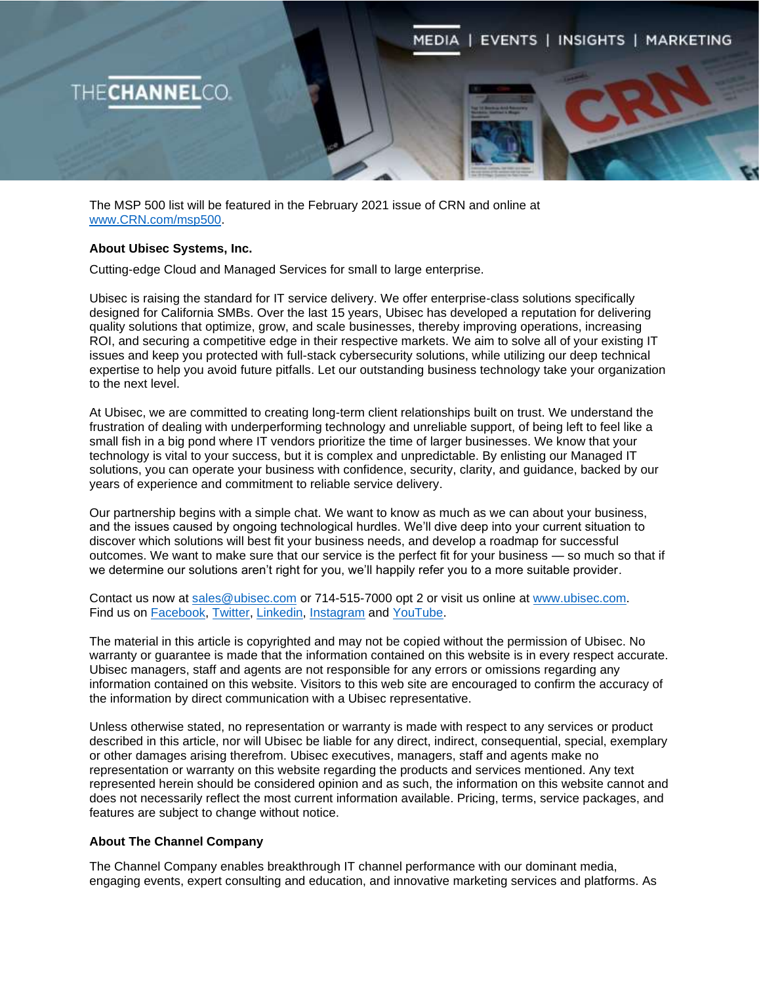

The MSP 500 list will be featured in the February 2021 issue of CRN and online at [www.CRN.com/msp500.](http://www.crn.com/msp500)

## **About Ubisec Systems, Inc.**

Cutting-edge Cloud and Managed Services for small to large enterprise.

Ubisec is raising the standard for IT service delivery. We offer enterprise-class solutions specifically designed for California SMBs. Over the last 15 years, Ubisec has developed a reputation for delivering quality solutions that optimize, grow, and scale businesses, thereby improving operations, increasing ROI, and securing a competitive edge in their respective markets. We aim to solve all of your existing IT issues and keep you protected with full-stack cybersecurity solutions, while utilizing our deep technical expertise to help you avoid future pitfalls. Let our outstanding business technology take your organization to the next level.

At Ubisec, we are committed to creating long-term client relationships built on trust. We understand the frustration of dealing with underperforming technology and unreliable support, of being left to feel like a small fish in a big pond where IT vendors prioritize the time of larger businesses. We know that your technology is vital to your success, but it is complex and unpredictable. By enlisting our Managed IT solutions, you can operate your business with confidence, security, clarity, and guidance, backed by our years of experience and commitment to reliable service delivery.

Our partnership begins with a simple chat. We want to know as much as we can about your business, and the issues caused by ongoing technological hurdles. We'll dive deep into your current situation to discover which solutions will best fit your business needs, and develop a roadmap for successful outcomes. We want to make sure that our service is the perfect fit for your business — so much so that if we determine our solutions aren't right for you, we'll happily refer you to a more suitable provider.

Contact us now at [sales@ubisec.com](mailto:sales@ubisec.com) or 714-515-7000 opt 2 or visit us online at [www.ubisec.com.](http://www.ubisec.com/) Find us on [Facebook,](https://business.facebook.com/Ubisec.NexCloud) [Twitter,](https://twitter.com/ubisec01) [Linkedin,](https://www.linkedin.com/company/ubisec-systems) [Instagram](https://www.instagram.com/ubisecsystems/) and [YouTube.](https://www.youtube.com/c/ubisec)

The material in this article is copyrighted and may not be copied without the permission of Ubisec. No warranty or guarantee is made that the information contained on this website is in every respect accurate. Ubisec managers, staff and agents are not responsible for any errors or omissions regarding any information contained on this website. Visitors to this web site are encouraged to confirm the accuracy of the information by direct communication with a Ubisec representative.

Unless otherwise stated, no representation or warranty is made with respect to any services or product described in this article, nor will Ubisec be liable for any direct, indirect, consequential, special, exemplary or other damages arising therefrom. Ubisec executives, managers, staff and agents make no representation or warranty on this website regarding the products and services mentioned. Any text represented herein should be considered opinion and as such, the information on this website cannot and does not necessarily reflect the most current information available. Pricing, terms, service packages, and features are subject to change without notice.

## **About The Channel Company**

The Channel Company enables breakthrough IT channel performance with our dominant media, engaging events, expert consulting and education, and innovative marketing services and platforms. As